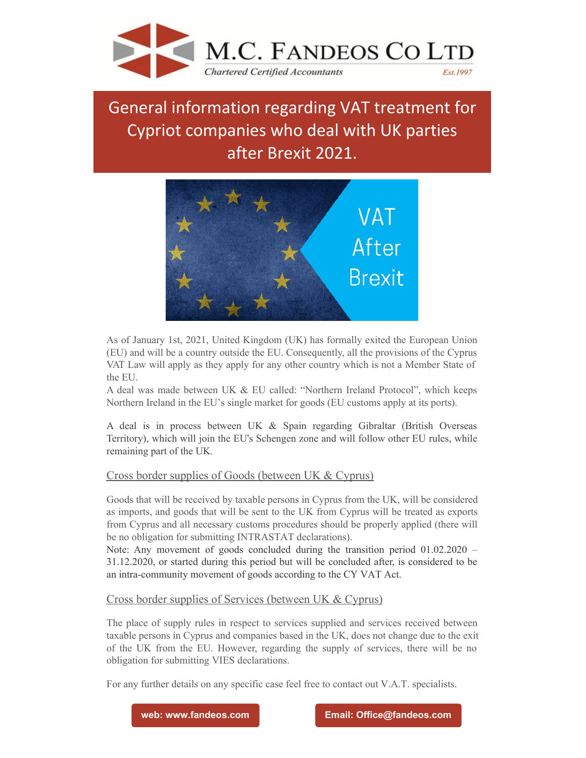

## General information regarding VAT treatment for Cypriot companies who deal with UK parties after Brexit 2021.



As of January 1st, 2021, United Kingdom (UK) has formally exited the European Union (EU) and will be a country outside the EU. Consequently, all the provisions of the Cyprus VAT Law will apply as they apply for any other country which is not a Member State of the EU.

A deal was made between UK & EU called: "Northern Ireland Protocol", which keeps Northern Ireland in the EU's single market for goods (EU customs apply at its ports).

A deal is in process between UK & Spain regarding Gibraltar (British Overseas Territory), which will join the EU's Schengen zone and will follow other EU rules, while remaining part of the UK.

## Cross border supplies of Goods (between UK & Cyprus)

Goods that will be received by taxable persons in Cyprus from the UK, will be considered as imports, and goods that will be sent to the UK from Cyprus will be treated as exports from Cyprus and all necessary customs procedures should be properly applied (there will be no obligation for submitting INTRASTAT declarations).

Note: Any movement of goods concluded during the transition period 01.02.2020 – 31.12.2020, or started during this period but will be concluded after, is considered to be an intra-community movement of goods according to the CY VAT Act.

## Cross border supplies of Services (between UK & Cyprus)

The place of supply rules in respect to services supplied and services received between taxable persons in Cyprus and companies based in the UK, does not change due to the exit of the UK from the EU. However, regarding the supply of services, there will be no obligation for submitting VIES declarations.

For any further details on any specific case feel free to contact out V.A.T. specialists.